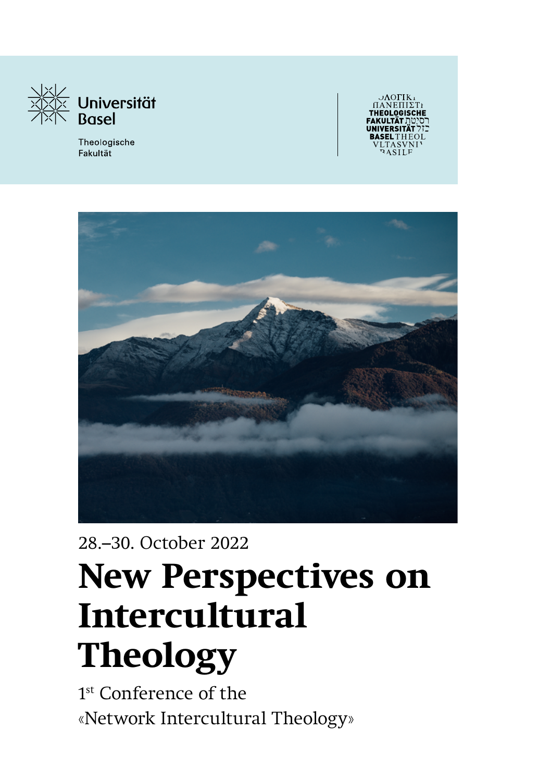

Theologische Fakultät

логік



28.–30. October 2022

# **New Perspectives on Intercultural Theology**

1<sup>st</sup> Conference of the «Network Intercultural Theology»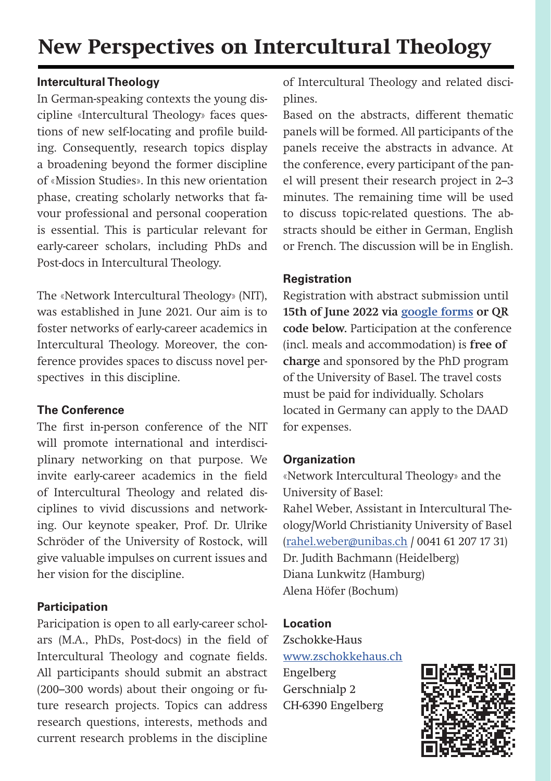#### **Intercultural Theology**

In German-speaking contexts the young discipline «Intercultural Theology» faces questions of new self-locating and profile building. Consequently, research topics display a broadening beyond the former discipline of «Mission Studies». In this new orientation phase, creating scholarly networks that favour professional and personal cooperation is essential. This is particular relevant for early-career scholars, including PhDs and Post-docs in Intercultural Theology.

The «Network Intercultural Theology» (NIT), was established in June 2021. Our aim is to foster networks of early-career academics in Intercultural Theology. Moreover, the conference provides spaces to discuss novel perspectives in this discipline.

#### **The Conference**

The first in-person conference of the NIT will promote international and interdisciplinary networking on that purpose. We invite early-career academics in the field of Intercultural Theology and related disciplines to vivid discussions and networking. Our keynote speaker, Prof. Dr. Ulrike Schröder of the University of Rostock, will give valuable impulses on current issues and her vision for the discipline.

#### **Participation**

Paricipation is open to all early-career scholars (M.A., PhDs, Post-docs) in the field of Intercultural Theology and cognate fields. All participants should submit an abstract (200–300 words) about their ongoing or future research projects. Topics can address research questions, interests, methods and current research problems in the discipline

of Intercultural Theology and related disciplines.

Based on the abstracts, different thematic panels will be formed. All participants of the panels receive the abstracts in advance. At the conference, every participant of the panel will present their research project in 2–3 minutes. The remaining time will be used to discuss topic-related questions. The abstracts should be either in German, English or French. The discussion will be in English.

#### **Registration**

Registration with abstract submission until **15th of June 2022 via g[oogle forms](https://docs.google.com/forms/d/11iJLya_ncir4pmfy9hH5ClcEIVGujT2edwucVX5YVv0/edit?hl=de%20) or QR code below.** Participation at the conference (incl. meals and accommodation) is **free of charge** and sponsored by the PhD program of the University of Basel. The travel costs must be paid for individually. Scholars located in Germany can apply to the DAAD for expenses.

#### **Organization**

«Network Intercultural Theology» and the University of Basel:

Rahel Weber, Assistant in Intercultural Theology/World Christianity University of Basel [\(rahel.weber@unibas.ch](mailto:rahel.weber%40unibas.ch?subject=Intercultural%20Theology%20Conference) / 0041 61 207 17 31) Dr. Judith Bachmann (Heidelberg) Diana Lunkwitz (Hamburg) Alena Höfer (Bochum)

#### **Location**

Zschokke-Haus [www.zschokkehaus.ch](http://www.zschokkehaus.ch/) Engelberg Gerschnialp 2 CH-6390 Engelberg

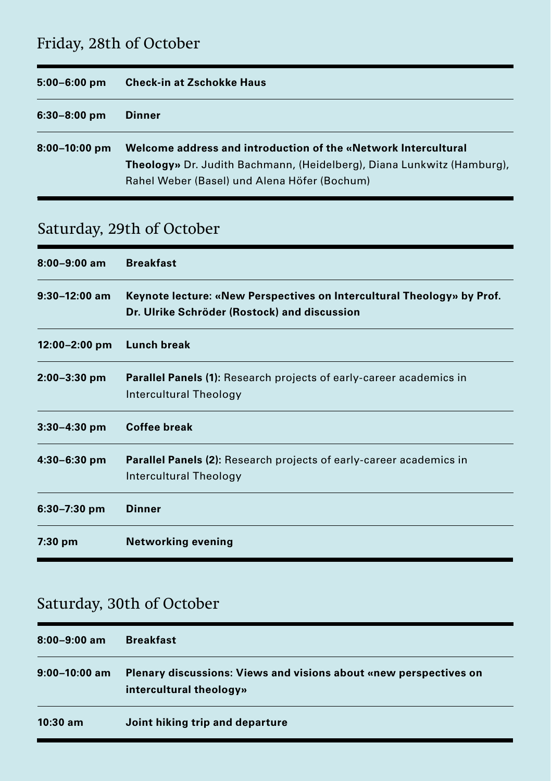## Friday, 28th of October

| $5:00 - 6:00$ pm | <b>Check-in at Zschokke Haus</b>                                                                                                                 |
|------------------|--------------------------------------------------------------------------------------------------------------------------------------------------|
| $6:30-8:00$ pm   | Dinner                                                                                                                                           |
| $8:00-10:00$ pm  | Welcome address and introduction of the «Network Intercultural<br><b>Theology</b> » Dr. Judith Bachmann, (Heidelberg), Diana Lunkwitz (Hamburg), |
|                  | Rahel Weber (Basel) und Alena Höfer (Bochum)                                                                                                     |

## Saturday, 29th of October

| $8:00 - 9:00$ am | <b>Breakfast</b>                                                                                                       |
|------------------|------------------------------------------------------------------------------------------------------------------------|
| $9:30-12:00$ am  | Keynote lecture: «New Perspectives on Intercultural Theology» by Prof.<br>Dr. Ulrike Schröder (Rostock) and discussion |
| 12:00-2:00 pm    | Lunch break                                                                                                            |
| $2:00 - 3:30$ pm | <b>Parallel Panels (1):</b> Research projects of early-career academics in<br>Intercultural Theology                   |
| $3:30 - 4:30$ pm | <b>Coffee break</b>                                                                                                    |
| $4:30-6:30$ pm   | <b>Parallel Panels (2):</b> Research projects of early-career academics in<br>Intercultural Theology                   |
| $6:30 - 7:30$ pm | <b>Dinner</b>                                                                                                          |
| $7:30$ pm        | <b>Networking evening</b>                                                                                              |

## Saturday, 30th of October

| 8:00-9:00 am  | <b>Breakfast</b>                                                                                    |
|---------------|-----------------------------------------------------------------------------------------------------|
| 9:00–10:00 am | <b>Plenary discussions: Views and visions about «new perspectives on</b><br>intercultural theology» |
| $10:30$ am    | Joint hiking trip and departure                                                                     |